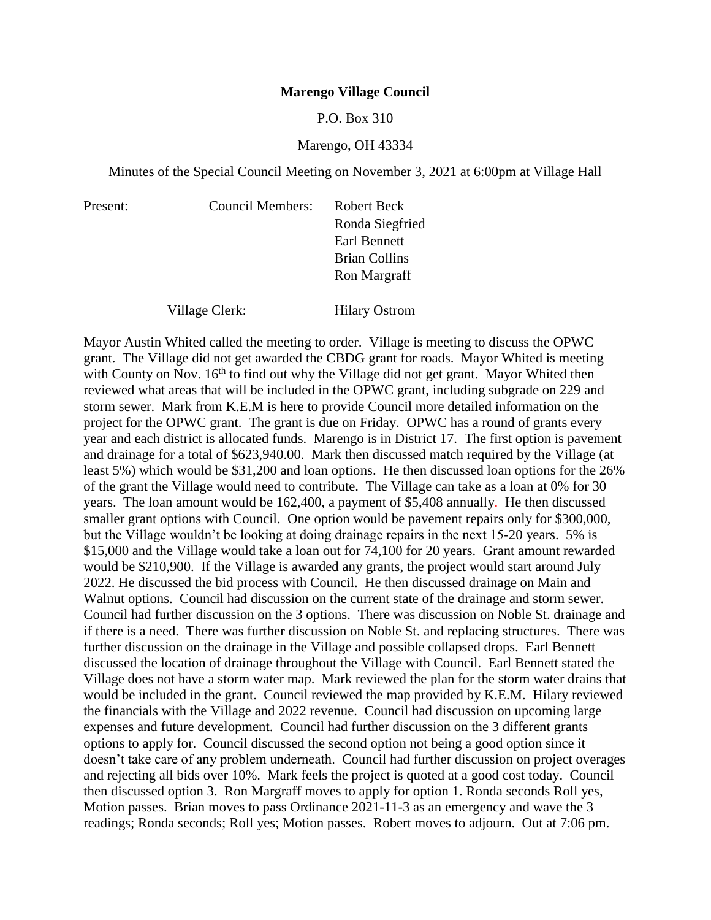### **Marengo Village Council**

### P.O. Box 310

### Marengo, OH 43334

Minutes of the Special Council Meeting on November 3, 2021 at 6:00pm at Village Hall

| <b>Council Members:</b> | Robert Beck          |
|-------------------------|----------------------|
|                         | Ronda Siegfried      |
|                         | Earl Bennett         |
|                         | <b>Brian Collins</b> |
|                         | Ron Margraff         |
|                         |                      |
| Village Clerk:          | <b>Hilary Ostrom</b> |

Present:

Mayor Austin Whited called the meeting to order. Village is meeting to discuss the OPWC grant. The Village did not get awarded the CBDG grant for roads. Mayor Whited is meeting with County on Nov. 16<sup>th</sup> to find out why the Village did not get grant. Mayor Whited then reviewed what areas that will be included in the OPWC grant, including subgrade on 229 and storm sewer. Mark from K.E.M is here to provide Council more detailed information on the project for the OPWC grant. The grant is due on Friday. OPWC has a round of grants every year and each district is allocated funds. Marengo is in District 17. The first option is pavement and drainage for a total of \$623,940.00. Mark then discussed match required by the Village (at least 5%) which would be \$31,200 and loan options. He then discussed loan options for the 26% of the grant the Village would need to contribute. The Village can take as a loan at 0% for 30 years. The loan amount would be 162,400, a payment of \$5,408 annually. He then discussed smaller grant options with Council. One option would be pavement repairs only for \$300,000, but the Village wouldn't be looking at doing drainage repairs in the next 15-20 years. 5% is \$15,000 and the Village would take a loan out for 74,100 for 20 years. Grant amount rewarded would be \$210,900. If the Village is awarded any grants, the project would start around July 2022. He discussed the bid process with Council. He then discussed drainage on Main and Walnut options. Council had discussion on the current state of the drainage and storm sewer. Council had further discussion on the 3 options. There was discussion on Noble St. drainage and if there is a need. There was further discussion on Noble St. and replacing structures. There was further discussion on the drainage in the Village and possible collapsed drops. Earl Bennett discussed the location of drainage throughout the Village with Council. Earl Bennett stated the Village does not have a storm water map. Mark reviewed the plan for the storm water drains that would be included in the grant. Council reviewed the map provided by K.E.M. Hilary reviewed the financials with the Village and 2022 revenue. Council had discussion on upcoming large expenses and future development. Council had further discussion on the 3 different grants options to apply for. Council discussed the second option not being a good option since it doesn't take care of any problem underneath. Council had further discussion on project overages and rejecting all bids over 10%. Mark feels the project is quoted at a good cost today. Council then discussed option 3. Ron Margraff moves to apply for option 1. Ronda seconds Roll yes, Motion passes. Brian moves to pass Ordinance 2021-11-3 as an emergency and wave the 3 readings; Ronda seconds; Roll yes; Motion passes. Robert moves to adjourn. Out at 7:06 pm.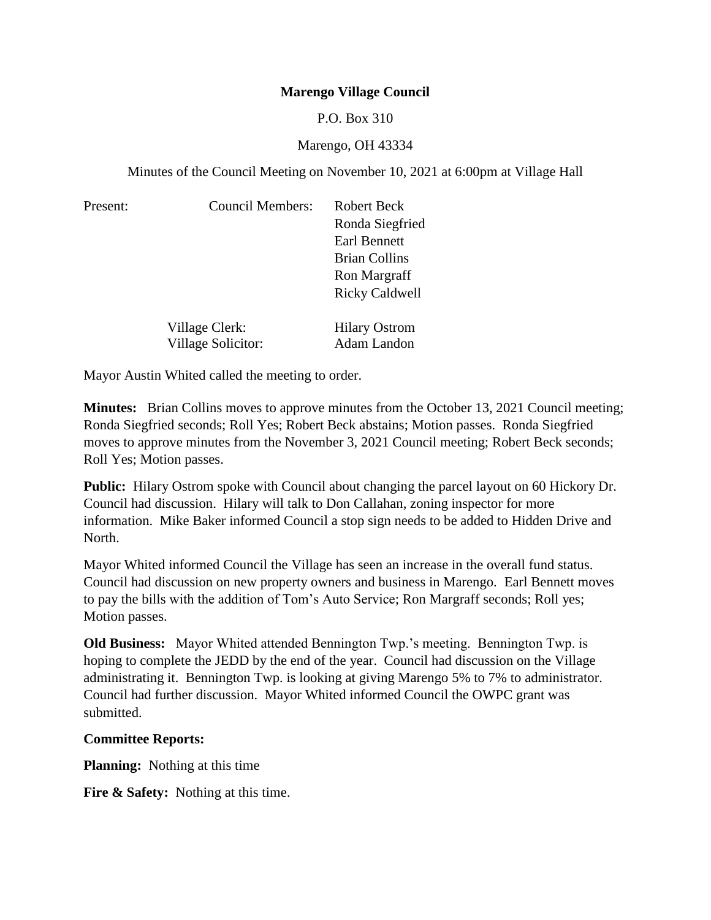# **Marengo Village Council**

## P.O. Box 310

## Marengo, OH 43334

Minutes of the Council Meeting on November 10, 2021 at 6:00pm at Village Hall

| Present: | <b>Council Members:</b>   | Robert Beck           |
|----------|---------------------------|-----------------------|
|          |                           | Ronda Siegfried       |
|          |                           | Earl Bennett          |
|          |                           | <b>Brian Collins</b>  |
|          |                           | Ron Margraff          |
|          |                           | <b>Ricky Caldwell</b> |
|          | Village Clerk:            | <b>Hilary Ostrom</b>  |
|          | <b>Village Solicitor:</b> | <b>Adam Landon</b>    |

Mayor Austin Whited called the meeting to order.

**Minutes:** Brian Collins moves to approve minutes from the October 13, 2021 Council meeting; Ronda Siegfried seconds; Roll Yes; Robert Beck abstains; Motion passes. Ronda Siegfried moves to approve minutes from the November 3, 2021 Council meeting; Robert Beck seconds; Roll Yes; Motion passes.

**Public:** Hilary Ostrom spoke with Council about changing the parcel layout on 60 Hickory Dr. Council had discussion. Hilary will talk to Don Callahan, zoning inspector for more information. Mike Baker informed Council a stop sign needs to be added to Hidden Drive and North.

Mayor Whited informed Council the Village has seen an increase in the overall fund status. Council had discussion on new property owners and business in Marengo. Earl Bennett moves to pay the bills with the addition of Tom's Auto Service; Ron Margraff seconds; Roll yes; Motion passes.

**Old Business:** Mayor Whited attended Bennington Twp.'s meeting. Bennington Twp. is hoping to complete the JEDD by the end of the year. Council had discussion on the Village administrating it. Bennington Twp. is looking at giving Marengo 5% to 7% to administrator. Council had further discussion. Mayor Whited informed Council the OWPC grant was submitted.

## **Committee Reports:**

**Planning:** Nothing at this time

**Fire & Safety:** Nothing at this time.